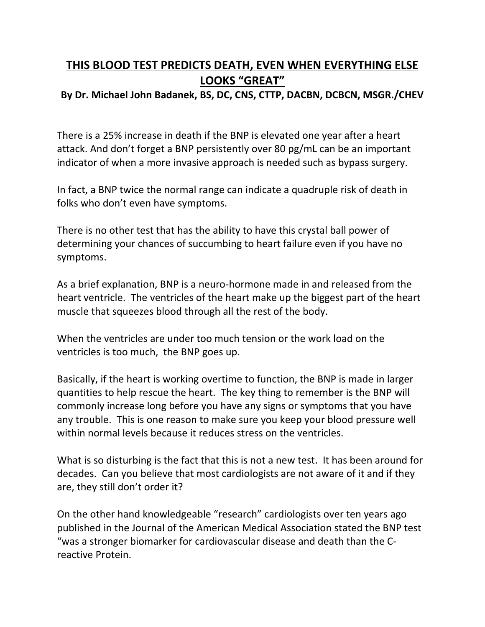## **THIS BLOOD TEST PREDICTS DEATH, EVEN WHEN EVERYTHING ELSE LOOKS "GREAT"**

## **By Dr. Michael John Badanek, BS, DC, CNS, CTTP, DACBN, DCBCN, MSGR./CHEV**

There is a 25% increase in death if the BNP is elevated one year after a heart attack. And don't forget a BNP persistently over 80 pg/mL can be an important indicator of when a more invasive approach is needed such as bypass surgery.

In fact, a BNP twice the normal range can indicate a quadruple risk of death in folks who don't even have symptoms.

There is no other test that has the ability to have this crystal ball power of determining your chances of succumbing to heart failure even if you have no symptoms.

As a brief explanation, BNP is a neuro-hormone made in and released from the heart ventricle. The ventricles of the heart make up the biggest part of the heart muscle that squeezes blood through all the rest of the body.

When the ventricles are under too much tension or the work load on the ventricles is too much, the BNP goes up.

Basically, if the heart is working overtime to function, the BNP is made in larger quantities to help rescue the heart. The key thing to remember is the BNP will commonly increase long before you have any signs or symptoms that you have any trouble. This is one reason to make sure you keep your blood pressure well within normal levels because it reduces stress on the ventricles.

What is so disturbing is the fact that this is not a new test. It has been around for decades. Can you believe that most cardiologists are not aware of it and if they are, they still don't order it?

On the other hand knowledgeable "research" cardiologists over ten years ago published in the Journal of the American Medical Association stated the BNP test "was a stronger biomarker for cardiovascular disease and death than the Creactive Protein.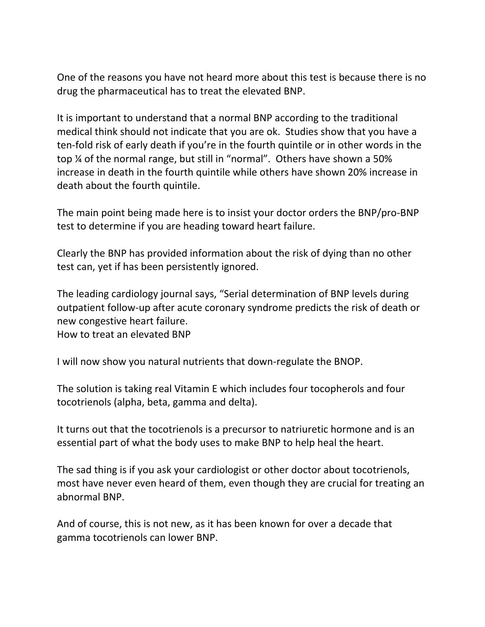One of the reasons you have not heard more about this test is because there is no drug the pharmaceutical has to treat the elevated BNP.

It is important to understand that a normal BNP according to the traditional medical think should not indicate that you are ok. Studies show that you have a ten-fold risk of early death if you're in the fourth quintile or in other words in the top ¼ of the normal range, but still in "normal". Others have shown a 50% increase in death in the fourth quintile while others have shown 20% increase in death about the fourth quintile.

The main point being made here is to insist your doctor orders the BNP/pro-BNP test to determine if you are heading toward heart failure.

Clearly the BNP has provided information about the risk of dying than no other test can, yet if has been persistently ignored.

The leading cardiology journal says, "Serial determination of BNP levels during outpatient follow-up after acute coronary syndrome predicts the risk of death or new congestive heart failure.

How to treat an elevated BNP

I will now show you natural nutrients that down-regulate the BNOP.

The solution is taking real Vitamin E which includes four tocopherols and four tocotrienols (alpha, beta, gamma and delta).

It turns out that the tocotrienols is a precursor to natriuretic hormone and is an essential part of what the body uses to make BNP to help heal the heart.

The sad thing is if you ask your cardiologist or other doctor about tocotrienols, most have never even heard of them, even though they are crucial for treating an abnormal BNP.

And of course, this is not new, as it has been known for over a decade that gamma tocotrienols can lower BNP.